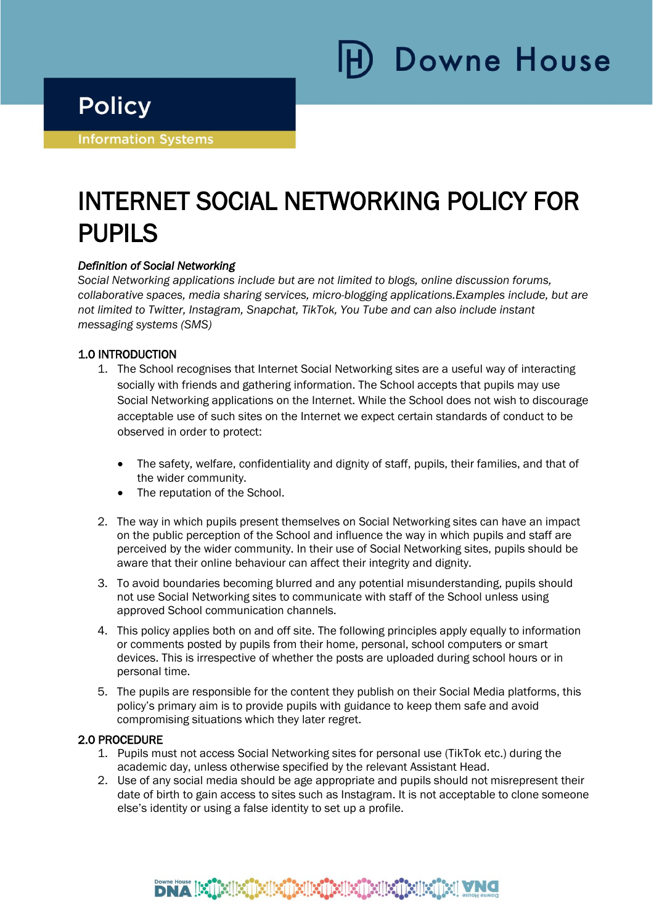Downe House

# **Policy**

i

Ī

**Information Systems** 

# INTERNET SOCIAL NETWORKING POLICY FOR PUPILS

# *Definition of Social Networking*

*Social Networking applications include but are not limited to blogs, online discussion forums, collaborative spaces, media sharing services, micro-blogging applications.Examples include, but are not limited to Twitter, Instagram, Snapchat, TikTok, You Tube and can also include instant messaging systems (SMS)*

# 1.0 INTRODUCTION

- 1. The School recognises that Internet Social Networking sites are a useful way of interacting socially with friends and gathering information. The School accepts that pupils may use Social Networking applications on the Internet. While the School does not wish to discourage acceptable use of such sites on the Internet we expect certain standards of conduct to be observed in order to protect:
	- The safety, welfare, confidentiality and dignity of staff, pupils, their families, and that of the wider community.
	- The reputation of the School.
- 2. The way in which pupils present themselves on Social Networking sites can have an impact on the public perception of the School and influence the way in which pupils and staff are perceived by the wider community. In their use of Social Networking sites, pupils should be aware that their online behaviour can affect their integrity and dignity.
- 3. To avoid boundaries becoming blurred and any potential misunderstanding, pupils should not use Social Networking sites to communicate with staff of the School unless using approved School communication channels.
- 4. This policy applies both on and off site. The following principles apply equally to information or comments posted by pupils from their home, personal, school computers or smart devices. This is irrespective of whether the posts are uploaded during school hours or in personal time.
- 5. The pupils are responsible for the content they publish on their Social Media platforms, this policy's primary aim is to provide pupils with guidance to keep them safe and avoid compromising situations which they later regret.

### 2.0 PROCEDURE

- 1. Pupils must not access Social Networking sites for personal use (TikTok etc.) during the academic day, unless otherwise specified by the relevant Assistant Head.
- 2. Use of any social media should be age appropriate and pupils should not misrepresent their date of birth to gain access to sites such as Instagram. It is not acceptable to clone someone else's identity or using a false identity to set up a profile.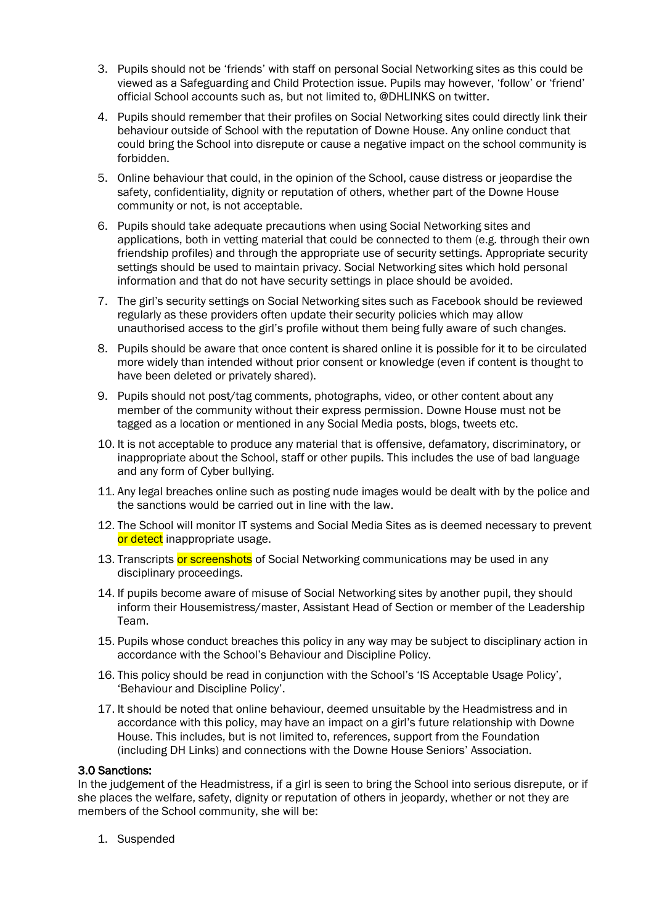- 3. Pupils should not be 'friends' with staff on personal Social Networking sites as this could be viewed as a Safeguarding and Child Protection issue. Pupils may however, 'follow' or 'friend' official School accounts such as, but not limited to, @DHLINKS on twitter.
- 4. Pupils should remember that their profiles on Social Networking sites could directly link their behaviour outside of School with the reputation of Downe House. Any online conduct that could bring the School into disrepute or cause a negative impact on the school community is forbidden.
- 5. Online behaviour that could, in the opinion of the School, cause distress or jeopardise the safety, confidentiality, dignity or reputation of others, whether part of the Downe House community or not, is not acceptable.
- 6. Pupils should take adequate precautions when using Social Networking sites and applications, both in vetting material that could be connected to them (e.g. through their own friendship profiles) and through the appropriate use of security settings. Appropriate security settings should be used to maintain privacy. Social Networking sites which hold personal information and that do not have security settings in place should be avoided.
- 7. The girl's security settings on Social Networking sites such as Facebook should be reviewed regularly as these providers often update their security policies which may allow unauthorised access to the girl's profile without them being fully aware of such changes.
- 8. Pupils should be aware that once content is shared online it is possible for it to be circulated more widely than intended without prior consent or knowledge (even if content is thought to have been deleted or privately shared).
- 9. Pupils should not post/tag comments, photographs, video, or other content about any member of the community without their express permission. Downe House must not be tagged as a location or mentioned in any Social Media posts, blogs, tweets etc.
- 10. It is not acceptable to produce any material that is offensive, defamatory, discriminatory, or inappropriate about the School, staff or other pupils. This includes the use of bad language and any form of Cyber bullying.
- 11. Any legal breaches online such as posting nude images would be dealt with by the police and the sanctions would be carried out in line with the law.
- 12. The School will monitor IT systems and Social Media Sites as is deemed necessary to prevent or detect inappropriate usage.
- 13. Transcripts or screenshots of Social Networking communications may be used in any disciplinary proceedings.
- 14. If pupils become aware of misuse of Social Networking sites by another pupil, they should inform their Housemistress/master, Assistant Head of Section or member of the Leadership Team.
- 15. Pupils whose conduct breaches this policy in any way may be subject to disciplinary action in accordance with the School's Behaviour and Discipline Policy.
- 16. This policy should be read in conjunction with the School's 'IS Acceptable Usage Policy', 'Behaviour and Discipline Policy'.
- 17. It should be noted that online behaviour, deemed unsuitable by the Headmistress and in accordance with this policy, may have an impact on a girl's future relationship with Downe House. This includes, but is not limited to, references, support from the Foundation (including DH Links) and connections with the Downe House Seniors' Association.

#### 3.0 Sanctions:

In the judgement of the Headmistress, if a girl is seen to bring the School into serious disrepute, or if she places the welfare, safety, dignity or reputation of others in jeopardy, whether or not they are members of the School community, she will be:

1. Suspended